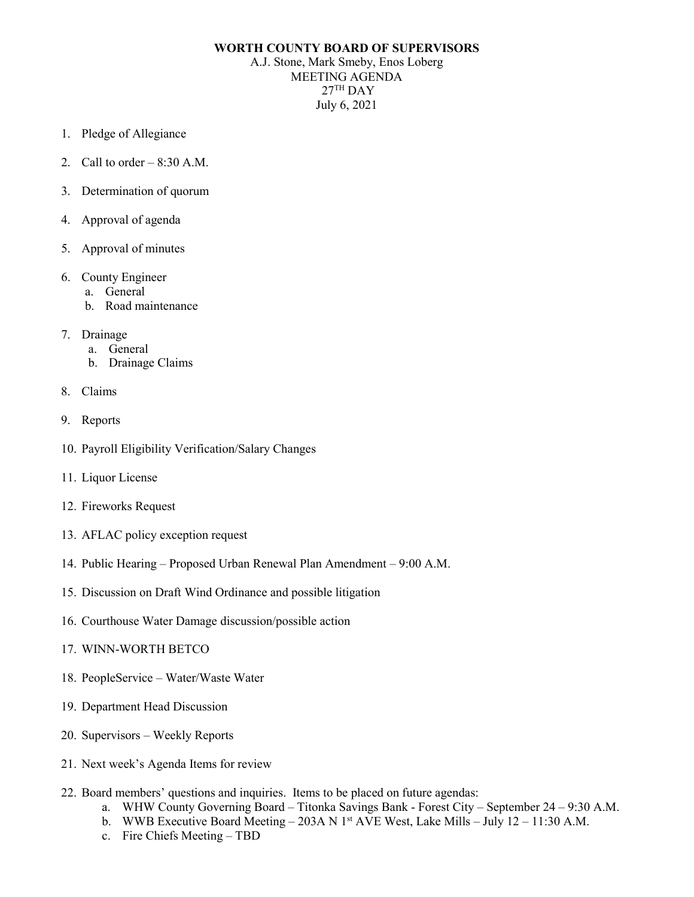## **WORTH COUNTY BOARD OF SUPERVISORS**

A.J. Stone, Mark Smeby, Enos Loberg MEETING AGENDA  $27<sup>TH</sup>$  DAY July 6, 2021

- 1. Pledge of Allegiance
- 2. Call to order  $-8:30$  A.M.
- 3. Determination of quorum
- 4. Approval of agenda
- 5. Approval of minutes
- 6. County Engineer
	- a. General
	- b. Road maintenance
- 7. Drainage
	- a. General
	- b. Drainage Claims
- 8. Claims
- 9. Reports
- 10. Payroll Eligibility Verification/Salary Changes
- 11. Liquor License
- 12. Fireworks Request
- 13. AFLAC policy exception request
- 14. Public Hearing Proposed Urban Renewal Plan Amendment 9:00 A.M.
- 15. Discussion on Draft Wind Ordinance and possible litigation
- 16. Courthouse Water Damage discussion/possible action
- 17. WINN-WORTH BETCO
- 18. PeopleService Water/Waste Water
- 19. Department Head Discussion
- 20. Supervisors Weekly Reports
- 21. Next week's Agenda Items for review
- 22. Board members' questions and inquiries. Items to be placed on future agendas:
	- a. WHW County Governing Board Titonka Savings Bank Forest City September 24 9:30 A.M.
	- b. WWB Executive Board Meeting 203A N 1st AVE West, Lake Mills July 12 11:30 A.M.
	- c. Fire Chiefs Meeting TBD